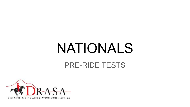# NATIONALS PRE-RIDE TESTS

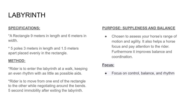# LABYRINTH

#### **SPECIFICATIONS:**

\*A Rectangle 9 meters in length and 6 meters in width.

\* 5 poles 3 meters in length and 1.5 meters apart placed evenly in the rectangle.

#### **METHOD:**

\*Rider is to enter the labyrinth at a walk, keeping an even rhythm with as little as possible aids.

\*Rider is to move from one end of the rectangle to the other while negotiating around the bends. 5 second immobility after exiting the labyrinth.

#### **PURPOSE: SUPPLENESS AND BALANCE**

• Chosen to assess your horse's range of motion and agility. It also helps a horse focus and pay attention to the rider. Furthermore it improves balance and coordination.

#### **Focus:**

Focus on control, balance, and rhythm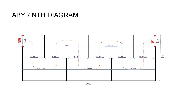## LABYRINTH DIAGRAM

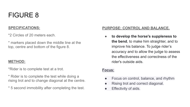# FIGURE 8

#### **SPECIFICATIONS:**

\*2 Circles of 20 meters each.

\* markers placed down the middle line at the top, centre and bottom of the figure 8.

#### **METHOD:**

\*Rider is to complete test at a trot.

\* Rider is to complete the test while doing a rising trot and to change diagonal at the centre.

\* 5 second immobility after completing the test.

#### **PURPOSE: CONTROL AND BALANCE.**

● **to develop the horse's suppleness to the bend**, to make him straighter, and to improve his balance. To judge rider's accuracy and to allow the judge to assess the effectiveness and correctness of the rider's outside aids.

#### **Focus:**

- Focus on control, balance, and rhythm
- Rising trot and correct diagonal.
- Effectivity of aids.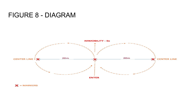### FIGURE 8 - DIAGRAM



 $\mathbf{X} = \mathsf{MARKERS}$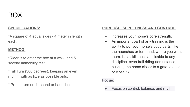# BOX

#### **SPECIFICATIONS:**

\*A square of 4 equal sides - 4 meter in length each.

#### **METHOD:**

\*Rider is to enter the box at a walk, and 5 second immobility test.

\*Full Turn (360 degrees), keeping an even rhythm with as little as possible aids.

\* Proper turn on forehand or haunches.

#### **PURPOSE: SUPPLENESS AND CONTROL**

- increases your horse's core strength.
- An important part of any training is the ability to put your horse's body parts, like the haunches or forehand, where you want them. it's a skill that's applicable to any discipline, even trail riding (for instance, pushing the horse closer to a gate to open or close it).

#### **Focus:**

Focus on control, balance, and rhythm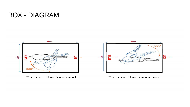### BOX - DIAGRAM



Turn on the forehand



Turn on the haunches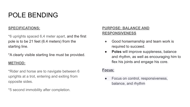# POLE BENDING

#### **SPECIFICATIONS:**

\*6 uprights spaced 6,4 meter apart, and the first pole is to be 21 feet (6.4 meters) from the starting line.

\*A clearly visible starting line must be provided.

#### **METHOD:**

\*Rider and horse are to navigate between 6 uprights at a trot, entering and exiting from opposite sides.

\*5 second immobility after completion.

#### **PURPOSE: BALANCE AND RESPONSIVENESS**

- Good horsemanship and team work is required to succeed.
- **Poles** will improve suppleness, balance and rhythm, as well as encouraging him to flex his joints and engage his core.

#### **Focus:**

Focus on control, responsiveness, balance, and rhythm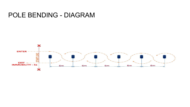### POLE BENDING - DIAGRAM

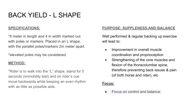# BACK YIELD - L SHAPE

#### **SPECIFICATIONS:**

\*6 meter in length and 4 in width marked out with poles or markers. Placed in an L shape, with the parallel poles/markers 2m meter apart.

\*elevated poles may be considered

#### **METHOD:**

\*Rider is to walk into the "L" shape, stand for 5 seconds (immobility test) and on rider's cue move backwards while keeping an even rhythm with as little as possible aids.

#### **PURPOSE: SUPPLENESS AND BALANCE**

Well performed & regular backing up exercise will lead to:

- Improvement in overall muscle coordination and proprioception
- Strengthening of the core muscles and flexion of the thoracolumbar spine, therefore preventing back issues & pain (of both horse and rider), etc

#### **Focus:**

Focus on control and balance.